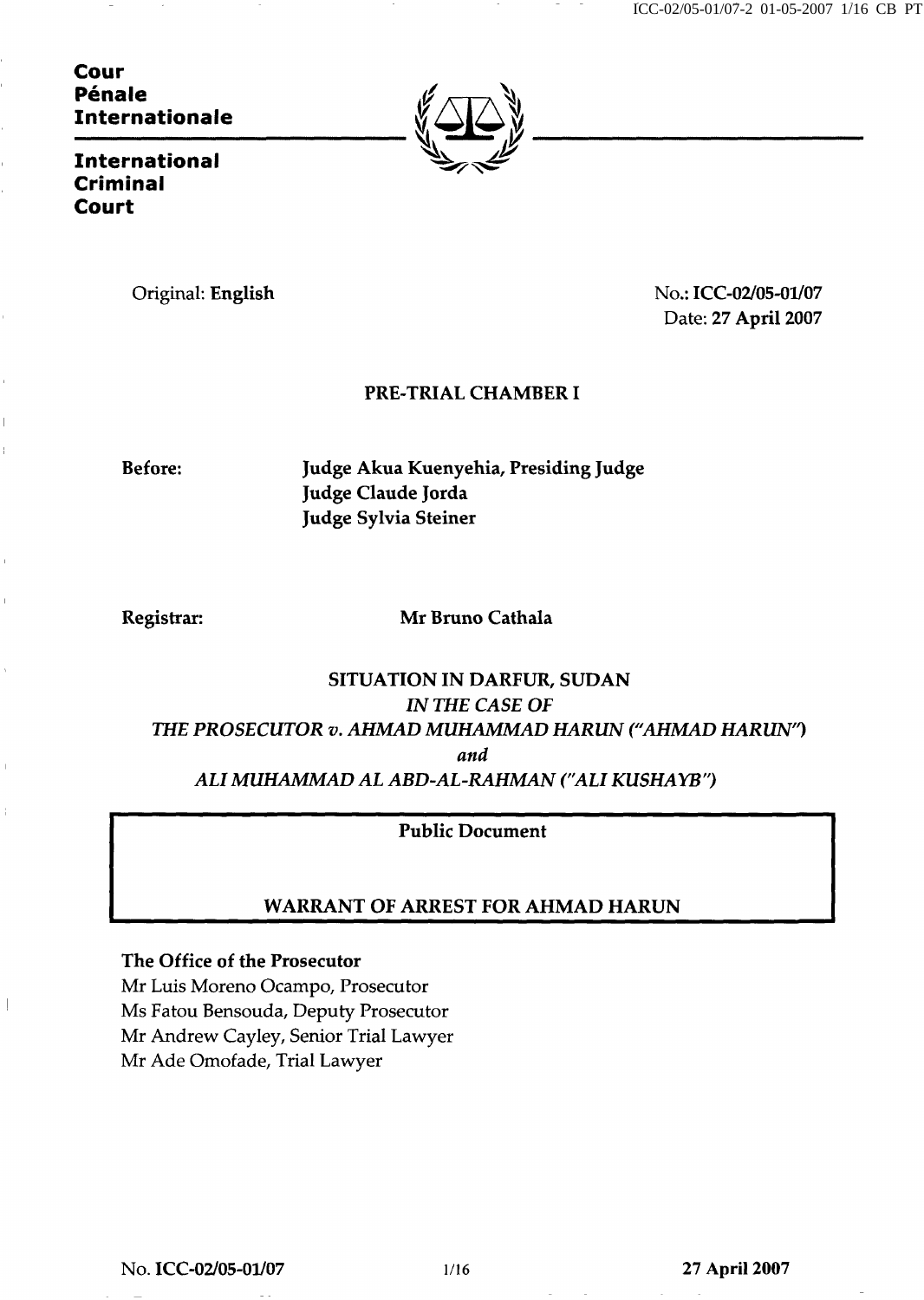ICC-02/05-01/07-2 01-05-2007 1/16 CB PT

Cour Pénale Internationale



International Criminal Court

Original: English No.: ICC-02/05-01/07 Date: 27 April 2007

# PRE-TRIAL CHAMBER I

Before: Judge Akua Kuenyehia, Presiding Judge Judge Claude Jorda Judge Sylvia Steiner

Registrar: Mr Bruno Cathala

# SITUATION IN DARFUR, SUDAN IN THE CASE OF THE PROSECUTOR v. AHMAD MUHAMMAD HARUN ("AHMAD HARUN") and ALI MUHAMMAD AL ABD-AL-RAHMAN ("ALI KUSHAYB")

# Public Document

# WARRANT OF ARREST FOR AHMAD HARUN

The Office of the Prosecutor

Mr Luis Moreno Ocampo, Prosecutor Ms Fatou Bensouda, Deputy Prosecutor Mr Andrew Cayley, Senior Trial Lawyer Mr Ade Omofade, Trial Lawyer

No. **ICC-02/05-01/07** 1/16 27 April 2007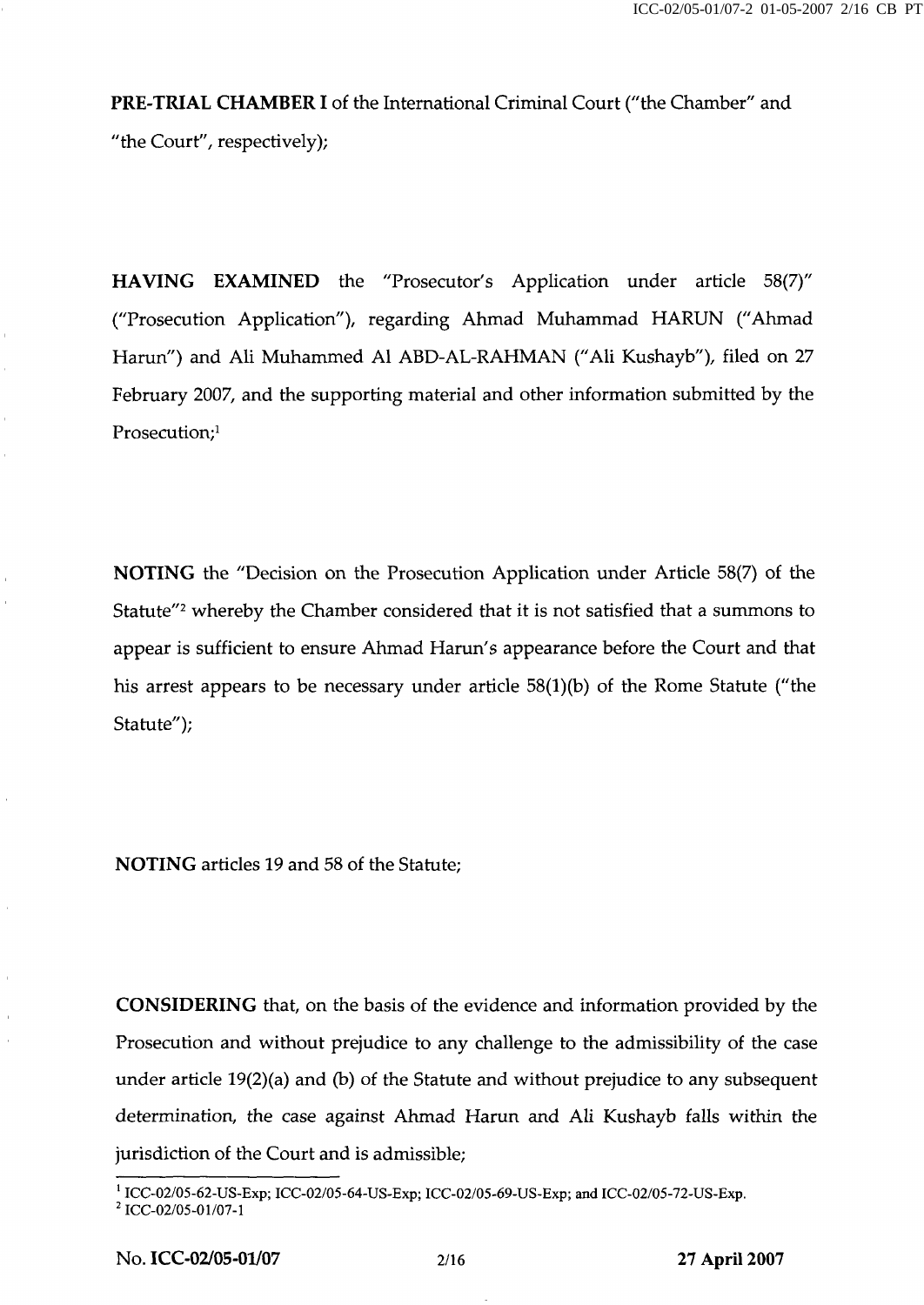PRE-TRIAL CHAMBER I of the International Criminal Court ("the Chamber" and "the Court", respectively);

HAVING EXAMINED the "Prosecutor's Application under article 58(7)" ("Prosecution Application"), regarding Ahmad Muhammad HARUN ("Ahmad Harun") and Ali Muhammed AI ABD-AL-RAHMAN ("Ali Kushayb"), filed on 27 February 2007, and the supporting material and other information submitted by the Prosecution;<sup>1</sup>

NOTING the "Decision on the Prosecution Application under Article 58(7) of the Statute<sup>"2</sup> whereby the Chamber considered that it is not satisfied that a summons to appear is sufficient to ensure Ahmad Harun's appearance before the Court and that his arrest appears to be necessary under article  $58(1)(b)$  of the Rome Statute ("the Statute");

NOTING articles 19 and 58 of the Statute;

CONSIDERING that, on the basis of the evidence and information provided by the Prosecution and without prejudice to any challenge to the admissibility of the case under article  $19(2)(a)$  and (b) of the Statute and without prejudice to any subsequent determination, the case against Ahmad Harun and Ali Kushayb falls within the jurisdiction of the Court and is admissible;

<sup>&</sup>lt;sup>1</sup> ICC-02/05-62-US-Exp; ICC-02/05-64-US-Exp; ICC-02/05-69-US-Exp; and ICC-02/05-72-US-Exp.<br><sup>2</sup> ICC-02/05-01/07-1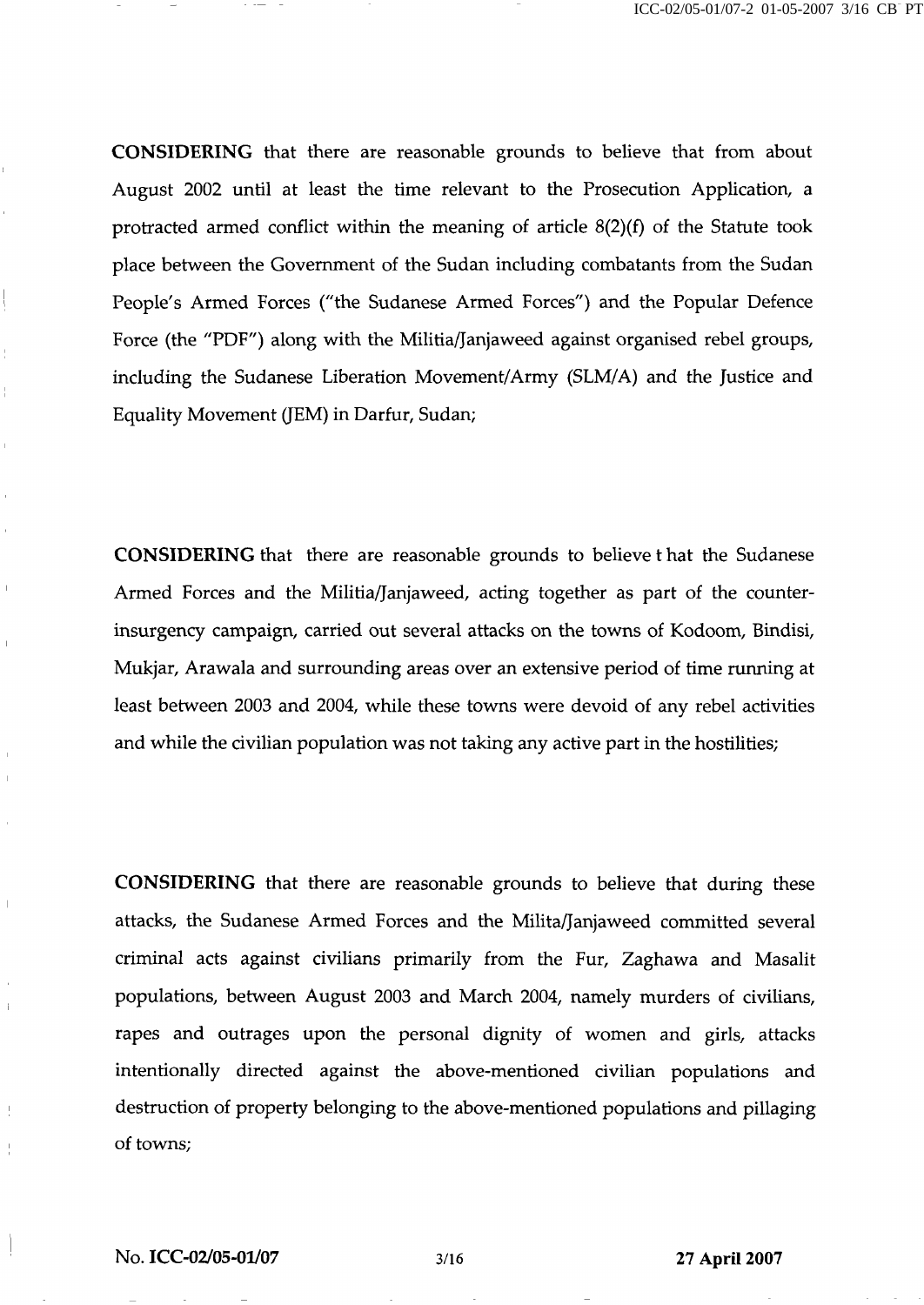CONSIDERING that there are reasonable grounds to believe that from about August 2002 until at least the time relevant to the Prosecution Application, a protracted armed conflict within the meaning of article 8(2)(f) of the Statute took place between the Government of the Sudan including combatants from the Sudan People's Armed Forces ("the Sudanese Armed Forces") and the Popular Defence Force (the "PDF") along with the Militia/Janjaweed against organised rebel groups, including the Sudanese Liberation Movement/Army (SLM/A) and the Justice and Equality Movement (JEM) in Darfur, Sudan;

CONSIDERING that there are reasonable grounds to believe t hat the Sudanese Armed Forces and the Militia/Janjaweed, acting together as part of the counterinsurgency campaign, carried out several attacks on the towns of Kodoom, Bindisi, Mukjar, Arawala and surrounding areas over an extensive period of time running at least between 2003 and 2004, while these towns were devoid of any rebel activities and while the civilian population was not taking any active part in the hostilities;

CONSIDERING that there are reasonable grounds to believe that during these attacks, the Sudanese Armed Forces and the Milita/Janjaweed committed several criminal acts against civilians primarily from the Fur, Zaghawa and Masalit populations, between August 2003 and March 2004, namely murders of civilians, rapes and outrages upon the personal dignity of women and girls, attacks intentionally directed against the above-mentioned civilian populations and destruction of property belonging to the above-mentioned populations and pillaging of towns;

 $\begin{array}{c} \hline \end{array}$ 

 $\overline{1}$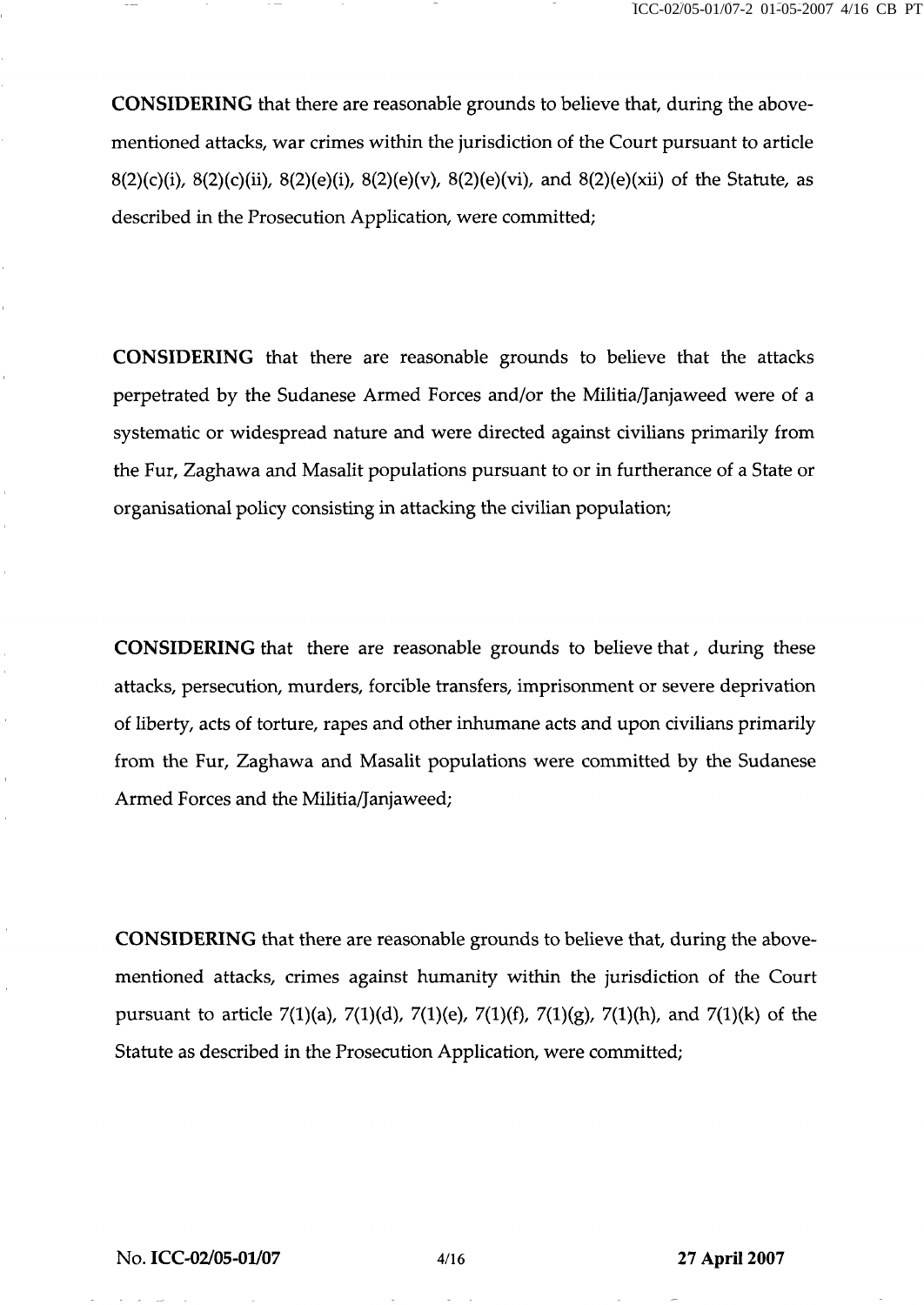CONSIDERING that there are reasonable grounds to believe that, during the abovementioned attacks, war crimes within the jurisdiction of the Court pursuant to article 8(2)(c)(i), 8(2)(c)(ii), 8(2)(e)(i), 8(2)(e)(v), 8(2)(e)(vi), and 8(2)(e)(xii) of the Statute, as described in the Prosecution Application, were committed;

CONSIDERING that there are reasonable grounds to believe that the attacks perpetrated by the Sudanese Armed Forces and/or the Militia/Janjaweed were of a systematic or widespread nature and were directed against civilians primarily from the Fur, Zaghawa and Masalit populations pursuant to or in furtherance of a State or organisational policy consisting in attacking the civilian population;

CONSIDERING that there are reasonable grounds to believe that, during these attacks, persecution, murders, forcible transfers, imprisonment or severe deprivation of liberty, acts of torture, rapes and other inhumane acts and upon civilians primarily from the Fur, Zaghawa and Masalit populations were committed by the Sudanese Armed Forces and the Militia/Janjaweed;

CONSIDERING that there are reasonable grounds to believe that, during the abovementioned attacks, crimes against humanity within the jurisdiction of the Court pursuant to article 7(1)(a), 7(1)(d), 7(1)(e), 7(1)(f), 7(1)(g), 7(1)(h), and 7(1)(k) of the Statute as described in the Prosecution Application, were committed;

 $\bar{1}$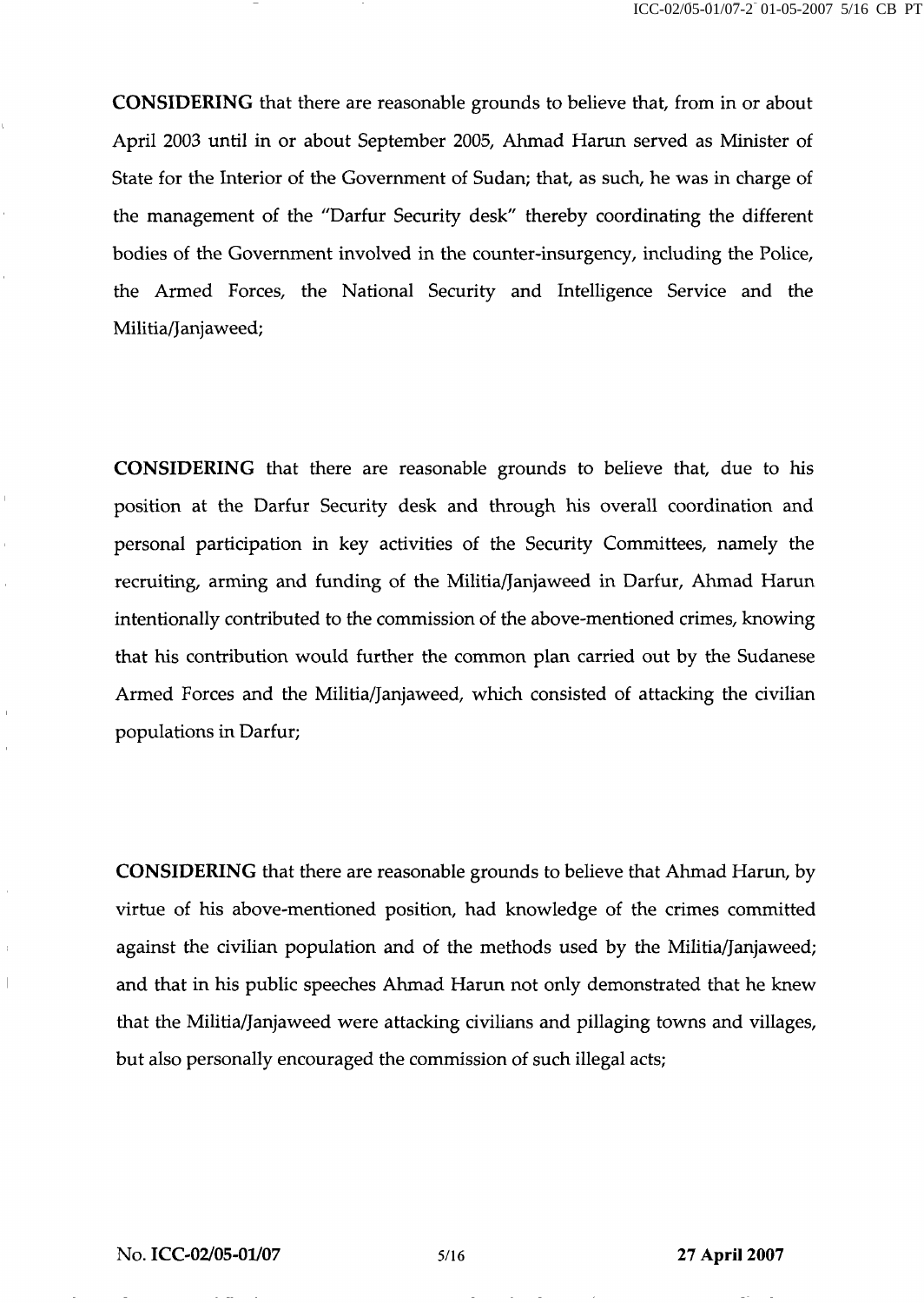CONSIDERING that there are reasonable grounds to believe that, from in or about April 2003 until in or about September 2005, Ahmad Harun served as Minister of State for the Interior of the Government of Sudan; that, as such, he was in charge of the management of the "Darfur Security desk" thereby coordinating the different bodies of the Government involved in the counter-insurgency, including the Police, the Armed Forces, the National Security and Intelligence Service and the Militia/Janjaweed;

CONSIDERING that there are reasonable grounds to believe that, due to his position at the Darfur Security desk and through his overall coordination and personal participation in key activities of the Security Committees, namely the recruiting, arming and funding of the Militia/Janjaweed in Darfur, Ahmad Harun intentionally contributed to the commission of the above-mentioned crimes, knowing that his contribution would further the common plan carried out by the Sudanese Armed Forces and the Militia/Janjaweed, which consisted of attacking the civilian populations in Darfur;

CONSIDERING that there are reasonable grounds to believe that Ahmad Harun, by virtue of his above-mentioned position, had knowledge of the crimes committed against the civilian population and of the methods used by the Militia/Janjaweed; and that in his public speeches Ahmad Harun not only demonstrated that he knew that the Militia/Janjaweed were attacking civilians and pillaging towns and villages, but also personally encouraged the commission of such illegal acts;

 $\hat{\mathbf{r}}$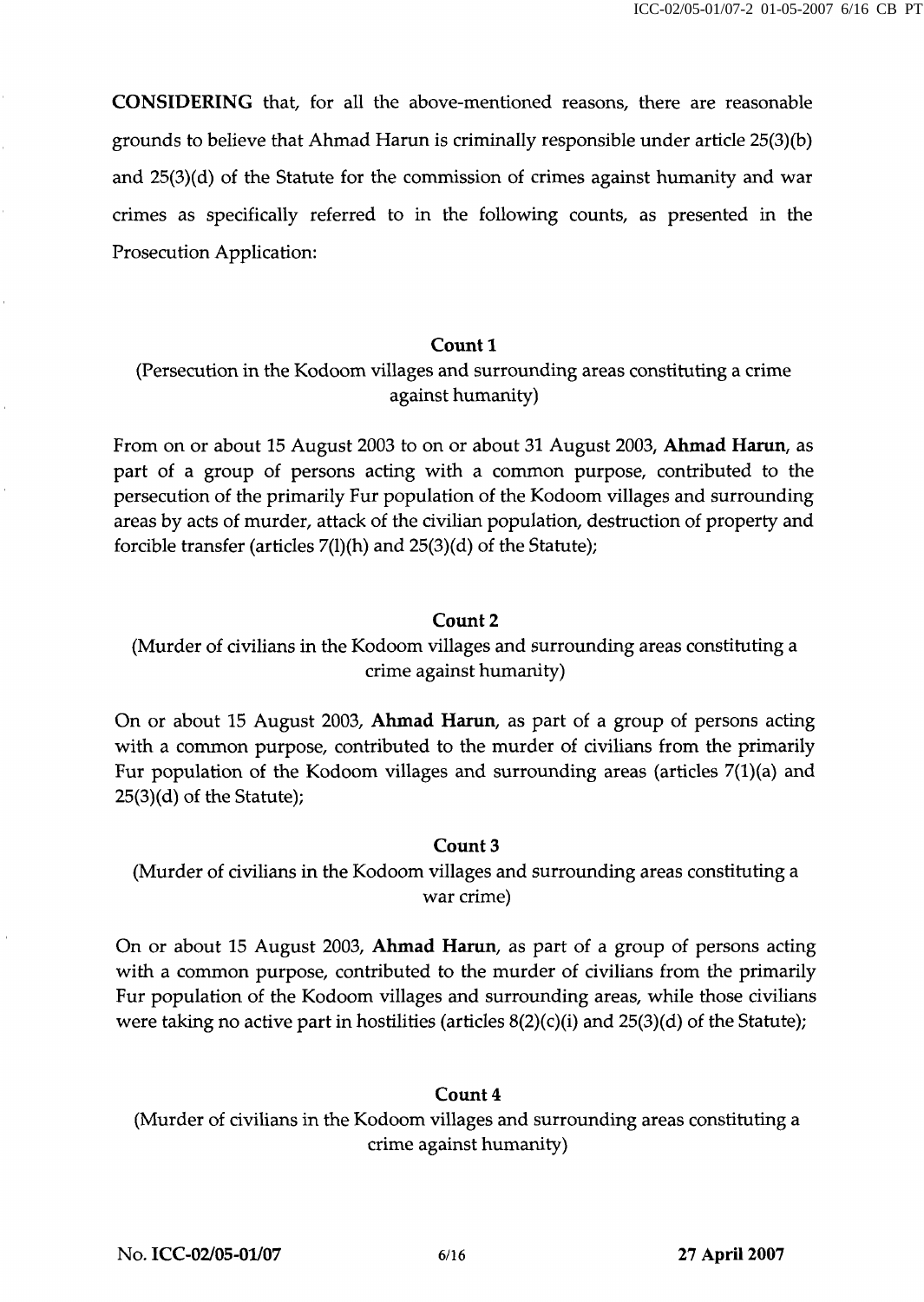CONSIDERING that, for all the above-mentioned reasons, there are reasonable grounds to believe that Ahmad Harun is criminally responsible under article 25(3) (b) and 25(3)(d) of the Statute for the commission of crimes against humanity and war crimes as specifically referred to in the following counts, as presented in the Prosecution Application:

## Count 1

# (Persecution in the Kodoom villages and surrounding areas constituting a crime against humanity)

From on or about 15 August 2003 to on or about 31 August 2003, Ahmad Harun, as part of a group of persons acting with a common purpose, contributed to the persecution of the primarily Fur population of the Kodoom villages and surrounding areas by acts of murder, attack of the civilian population, destruction of property and forcible transfer (articles 7(l)(h) and 25(3)(d) of the Statute);

#### Count 2

# (Murder of civilians in the Kodoom villages and surrounding areas constituting a crime against humanity)

On or about 15 August 2003, Ahmad Harun, as part of a group of persons acting with a common purpose, contributed to the murder of civilians from the primarily Fur population of the Kodoom villages and surrounding areas (articles 7(1)(a) and 25(3)(d) of the Statute);

## Count 3

(Murder of civilians in the Kodoom villages and surrounding areas constituting a war crime)

On or about 15 August 2003, Ahmad Harun, as part of a group of persons acting with a common purpose, contributed to the murder of civilians from the primarily Fur population of the Kodoom villages and surrounding areas, while those civilians were taking no active part in hostilities (articles  $8(2)(c)(i)$  and  $25(3)(d)$  of the Statute);

# Count 4

(Murder of civilians in the Kodoom villages and surrounding areas constituting a crime against humanity)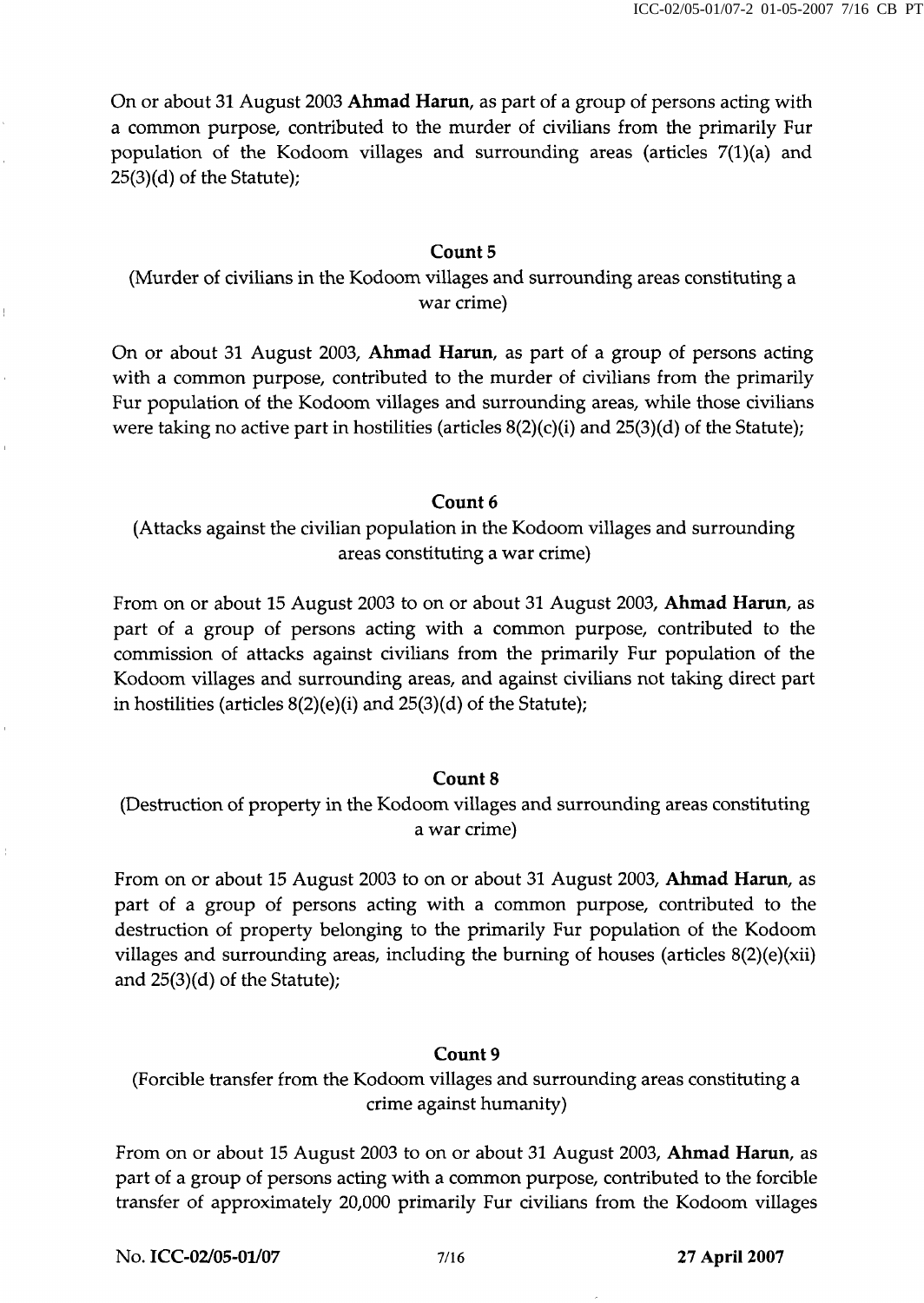On or about 31 August 2003 Ahmad Harun, as part of a group of persons acting with a common purpose, contributed to the murder of civilians from the primarily Fur population of the Kodoom villages and surrounding areas (articles 7(l)(a) and 25(3)(d) of the Statute);

# Count 5

(Murder of civilians in the Kodoom villages and surrounding areas constituting a war crime)

On or about 31 August 2003, Ahmad Harun, as part of a group of persons acting with a common purpose, contributed to the murder of civilians from the primarily Fur population of the Kodoom villages and surrounding areas, while those civilians were taking no active part in hostilities (articles  $8(2)(c)(i)$  and  $25(3)(d)$  of the Statute);

# Count 6

(Attacks against the civilian population in the Kodoom villages and surrounding areas constituting a war crime)

From on or about 15 August 2003 to on or about 31 August 2003, Ahmad Harun, as part of a group of persons acting with a common purpose, contributed to the commission of attacks against civilians from the primarily Fur population of the Kodoom villages and surrounding areas, and against civilians not taking direct part in hostilities (articles 8(2)(e)(i) and 25(3)(d) of the Statute);

# Count 8

(Destruction of property in the Kodoom villages and surrounding areas constituting a war crime)

From on or about 15 August 2003 to on or about 31 August 2003, Ahmad Harun, as part of a group of persons acting with a common purpose, contributed to the destruction of property belonging to the primarily Fur population of the Kodoom villages and surrounding areas, including the burning of houses (articles 8(2)(e)(xii) and 25(3)(d) of the Statute);

## Count 9

(Forcible transfer from the Kodoom villages and surrounding areas constituting a crime against humanity)

From on or about 15 August 2003 to on or about 31 August 2003, Ahmad Harun, as part of a group of persons acting with a common purpose, contributed to the forcible transfer of approximately 20,000 primarily Fur civilians from the Kodoom villages

No. ICC-02/05-01/07 7/16 27 April 2007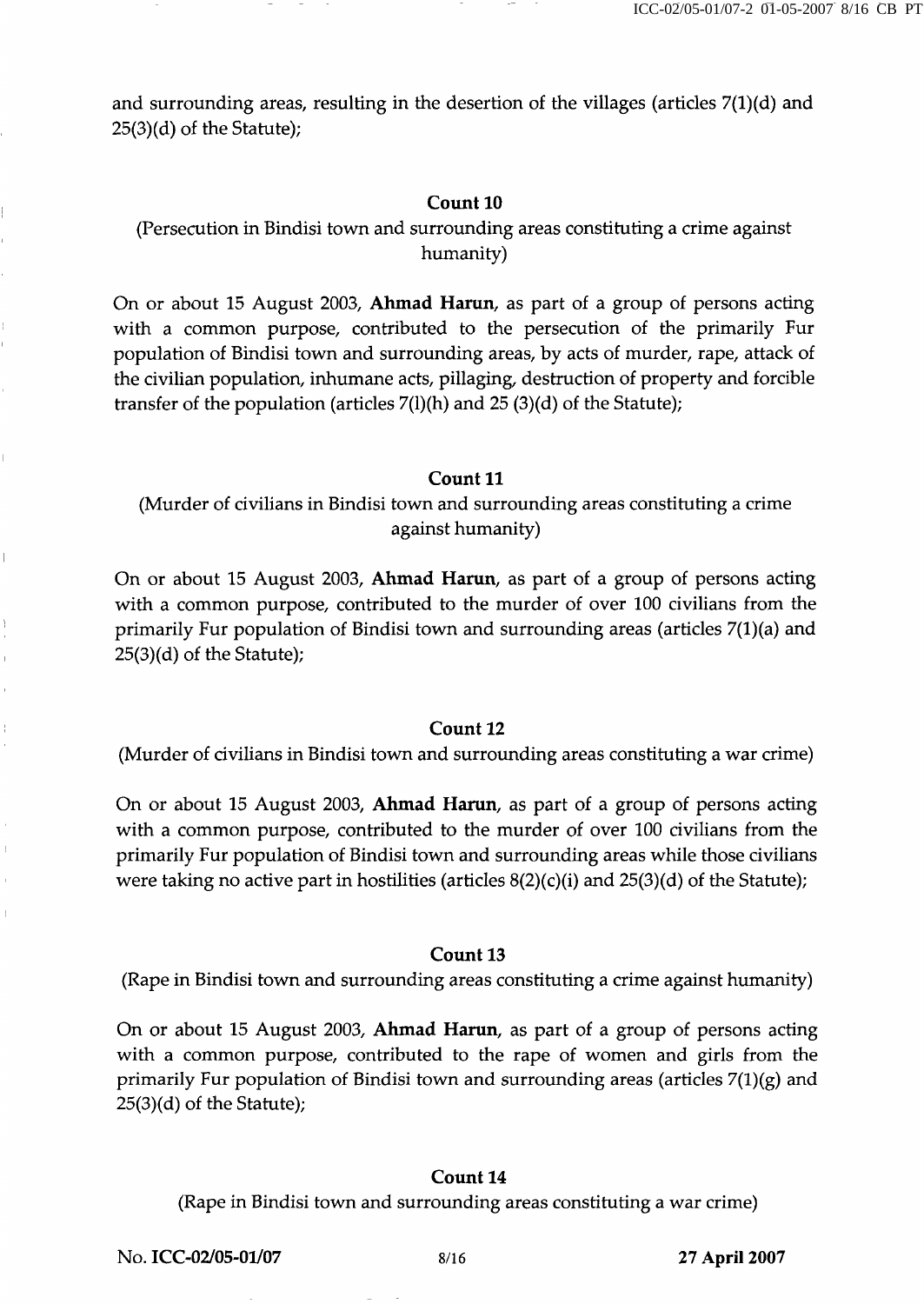and surrounding areas, resulting in the desertion of the villages (articles  $7(1)(d)$  and 25(3)(d) of the Statute);

## Count 10

(Persecution in Bindisi town and surrounding areas constituting a crime against humanity)

On or about 15 August 2003, Ahmad Harun, as part of a group of persons acting with a common purpose, contributed to the persecution of the primarily Fur population of Bindisi town and surrounding areas, by acts of murder, rape, attack of the civilian population, inhumane acts, pillaging, destruction of property and forcible transfer of the population (articles  $7(1)(h)$  and  $25(3)(d)$  of the Statute);

## Count 11

(Murder of civilians in Bindisi town and surrounding areas constituting a crime against humanity)

On or about 15 August 2003, Ahmad Harun, as part of a group of persons acting with a common purpose, contributed to the murder of over 100 civilians from the primarily Fur population of Bindisi town and surrounding areas (articles 7(1) (a) and 25(3)(d) of the Statute);

## Count 12

(Murder of civilians in Bindisi town and surrounding areas constituting a war crime)

On or about 15 August 2003, Ahmad Harun, as part of a group of persons acting with a common purpose, contributed to the murder of over 100 civilians from the primarily Fur population of Bindisi town and surrounding areas while those civilians were taking no active part in hostilities (articles  $8(2)(c)(i)$  and  $25(3)(d)$  of the Statute);

## Count 13

(Rape in Bindisi town and surrounding areas constituting a crime against humanity)

On or about 15 August 2003, Ahmad Harun, as part of a group of persons acting with a common purpose, contributed to the rape of women and girls from the primarily Fur population of Bindisi town and surrounding areas (articles  $7(1)(g)$  and 25(3)(d) of the Statute);

# Count 14

(Rape in Bindisi town and surrounding areas constituting a war crime)

No. ICC-02/05-01/07 8/16 8/16 27 April 2007

 $\overline{\phantom{a}}$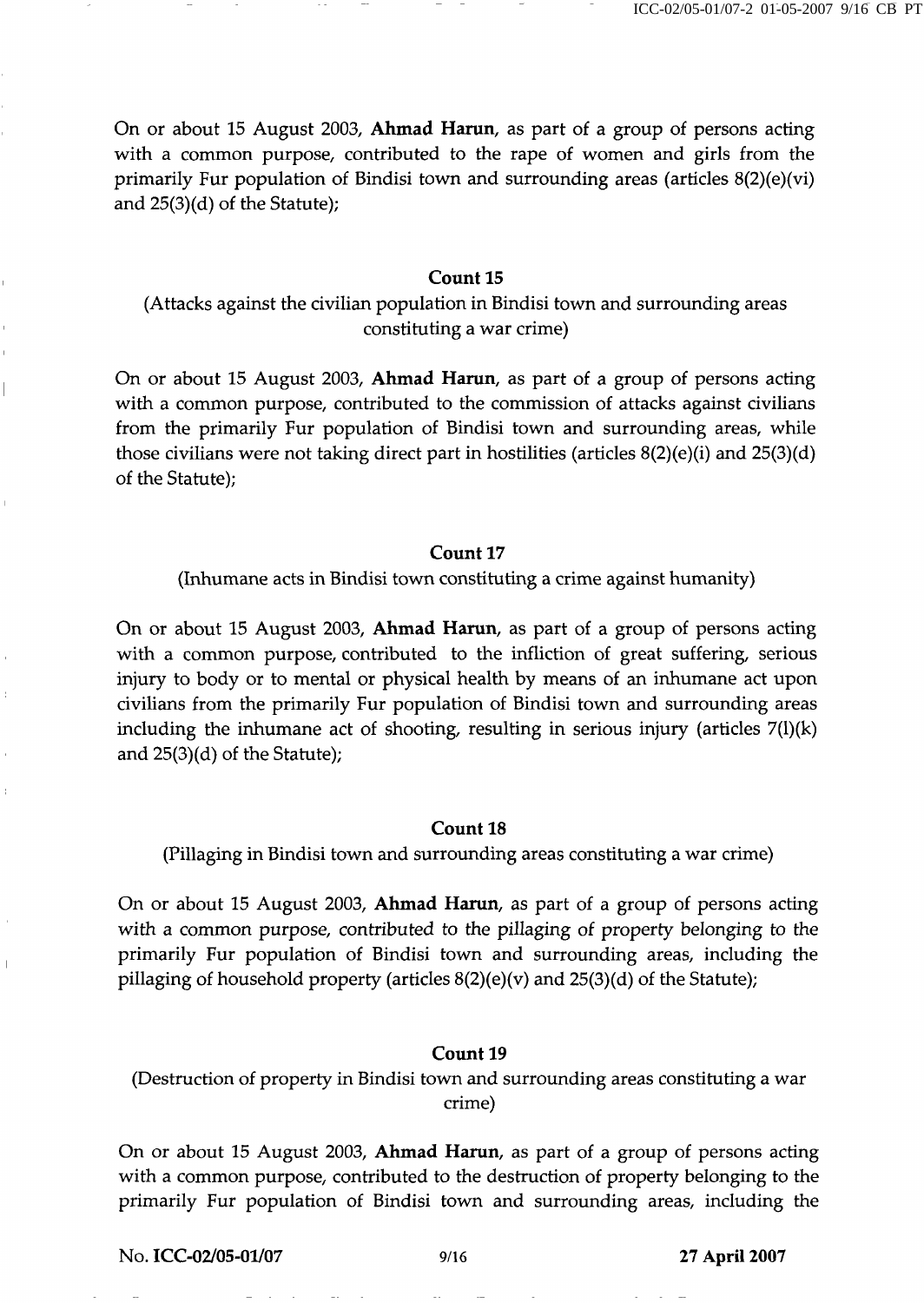On or about 15 August 2003, Ahmad Harun, as part of a group of persons acting with a common purpose, contributed to the rape of women and girls from the primarily Fur population of Bindisi town and surrounding areas (articles 8(2)(e)(vi) and 25(3)(d) of the Statute);

## Count 15

(Attacks against the civilian population in Bindisi town and surrounding areas constituting a war crime)

On or about 15 August 2003, Ahmad Harun, as part of a group of persons acting with a common purpose, contributed to the commission of attacks against civilians from the primarily Fur population of Bindisi town and surrounding areas, while those civilians were not taking direct part in hostilities (articles 8(2)(e)(i) and 25(3)(d) of the Statute);

#### Count 17

(Inhumane acts in Bindisi town constituting a crime against humanity)

On or about 15 August 2003, Ahmad Harun, as part of a group of persons acting with a common purpose, contributed to the infliction of great suffering, serious injury to body or to mental or physical health by means of an inhumane act upon civilians from the primarily Fur population of Bindisi town and surrounding areas including the inhumane act of shooting, resulting in serious injury (articles  $7(1)(k)$ ) and 25(3)(d) of the Statute);

## Count 18

(Pillaging in Bindisi town and surrounding areas constituting a war crime)

On or about 15 August 2003, Ahmad Harun, as part of a group of persons acting with a common purpose, contributed to the pillaging of property belonging to the primarily Fur population of Bindisi town and surrounding areas, including the pillaging of household property (articles 8(2)(e)(v) and 25(3)(d) of the Statute);

#### Count 19

(Destruction of property in Bindisi town and surrounding areas constituting a war crime)

On or about 15 August 2003, Ahmad Harun, as part of a group of persons acting with a common purpose, contributed to the destruction of property belonging to the primarily Fur population of Bindisi town and surrounding areas, including the

No. ICC-02/05-01/07 9/16 27 April 2007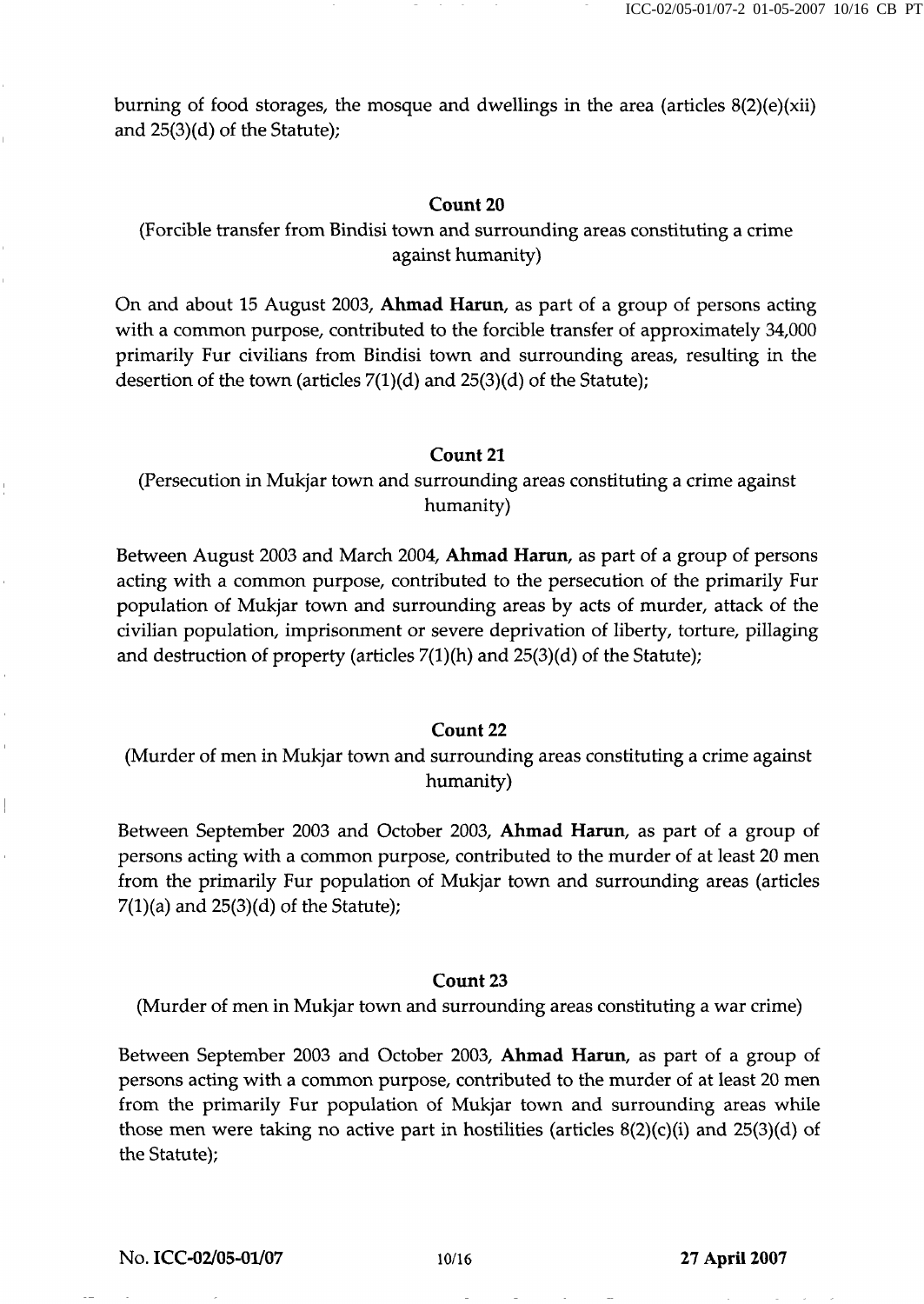burning of food storages, the mosque and dwellings in the area (articles 8(2)(e)(xii) and 25(3)(d) of the Statute);

#### Count 20

(Forcible transfer from Bindisi town and surrounding areas constituting a crime against humanity)

On and about 15 August 2003, Ahmad Harun, as part of a group of persons acting with a common purpose, contributed to the forcible transfer of approximately 34,000 primarily Fur civilians from Bindisi town and surrounding areas, resulting in the desertion of the town (articles  $7(1)(d)$  and  $25(3)(d)$  of the Statute);

#### Count 21

(Persecution in Mukjar town and surrounding areas constituting a crime against humanity)

Between August 2003 and March 2004, Ahmad Harun, as part of a group of persons acting with a common purpose, contributed to the persecution of the primarily Fur population of Mukjar town and surrounding areas by acts of murder, attack of the civilian population, imprisonment or severe deprivation of liberty, torture, pillaging and destruction of property (articles  $7(1)(h)$  and  $25(3)(d)$  of the Statute);

#### Count 22

# (Murder of men in Mukjar town and surrounding areas constituting a crime against humanity)

Between September 2003 and October 2003, Ahmad Harun, as part of a group of persons acting with a common purpose, contributed to the murder of at least 20 men from the primarily Fur population of Mukjar town and surrounding areas (articles  $7(1)(a)$  and  $25(3)(d)$  of the Statute);

#### Count 23

(Murder of men in Mukjar town and surrounding areas constituting a war crime)

Between September 2003 and October 2003, Ahmad Harun, as part of a group of persons acting with a common purpose, contributed to the murder of at least 20 men from the primarily Fur population of Mukjar town and surrounding areas while those men were taking no active part in hostilities (articles  $8(2)(c)(i)$  and  $25(3)(d)$  of the Statute);

No. ICC-02/05-01/07 10/16 27 April 2007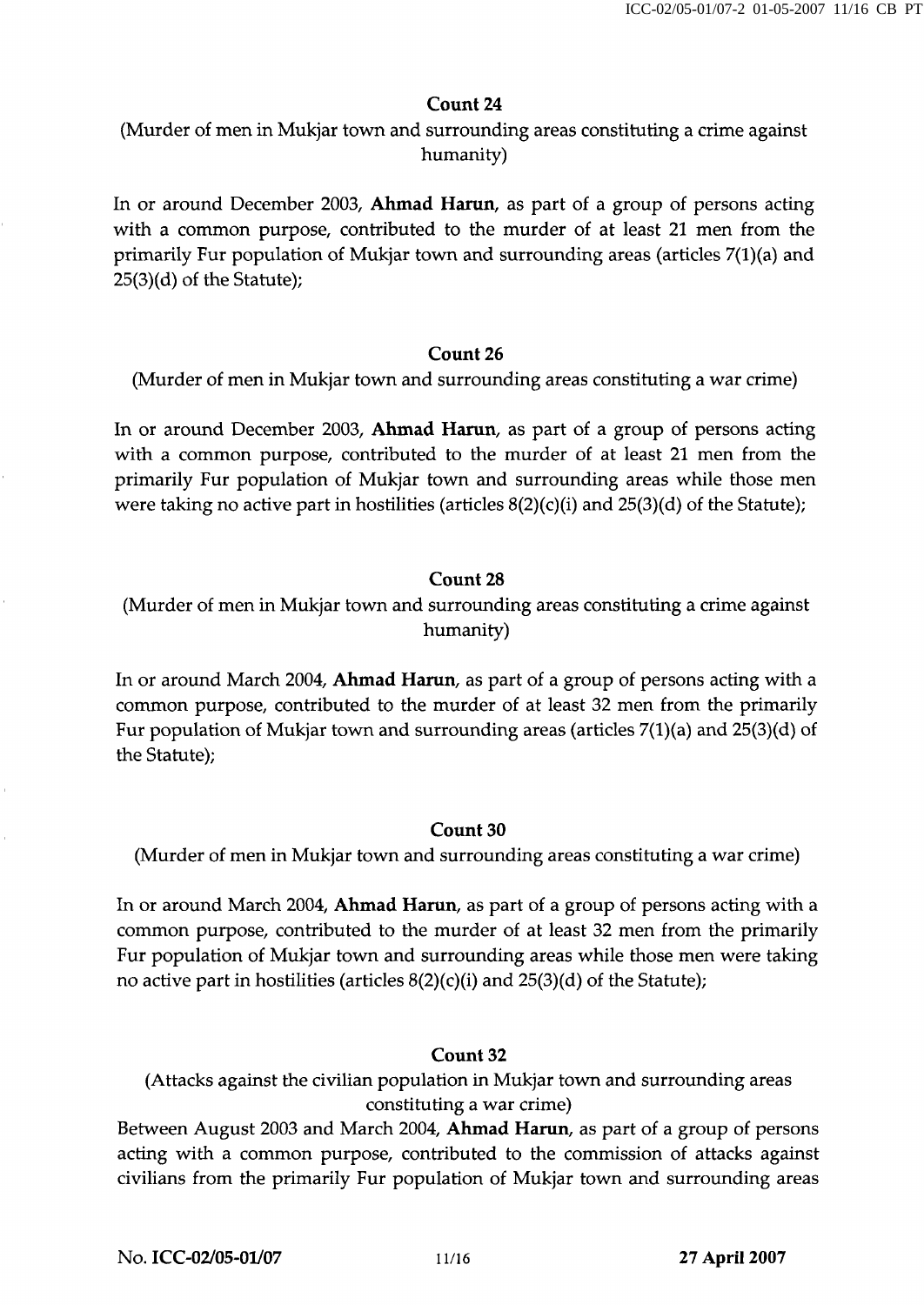# Count 24

(Murder of men in Mukjar town and surrounding areas constituting a crime against humanity)

In or around December 2003, Ahmad Harun, as part of a group of persons acting with a common purpose, contributed to the murder of at least 21 men from the primarily Fur population of Mukjar town and surrounding areas (articles 7(l)(a) and 25(3)(d) of the Statute);

# Count 26

(Murder of men in Mukjar town and surrounding areas constituting a war crime)

In or around December 2003, Ahmad Harun, as part of a group of persons acting with a common purpose, contributed to the murder of at least 21 men from the primarily Fur population of Mukjar town and surrounding areas while those men were taking no active part in hostilities (articles  $8(2)(c)(i)$  and  $25(3)(d)$  of the Statute);

# Count 28

(Murder of men in Mukjar town and surrounding areas constituting a crime against humanity)

In or around March 2004, Ahmad Harun, as part of a group of persons acting with a common purpose, contributed to the murder of at least 32 men from the primarily Fur population of Mukjar town and surrounding areas (articles  $7(1)(a)$  and  $25(3)(d)$  of the Statute);

# Count 30

(Murder of men in Mukjar town and surrounding areas constituting a war crime)

In or around March 2004, Ahmad Harun, as part of a group of persons acting with a common purpose, contributed to the murder of at least 32 men from the primarily Fur population of Mukjar town and surrounding areas while those men were taking no active part in hostilities (articles  $8(2)(c)(i)$  and  $25(3)(d)$  of the Statute);

# Count 32

(Attacks against the civilian population in Mukjar town and surrounding areas constituting a war crime)

Between August 2003 and March 2004, Ahmad Harun, as part of a group of persons acting with a common purpose, contributed to the commission of attacks against civilians from the primarily Fur population of Mukjar town and surrounding areas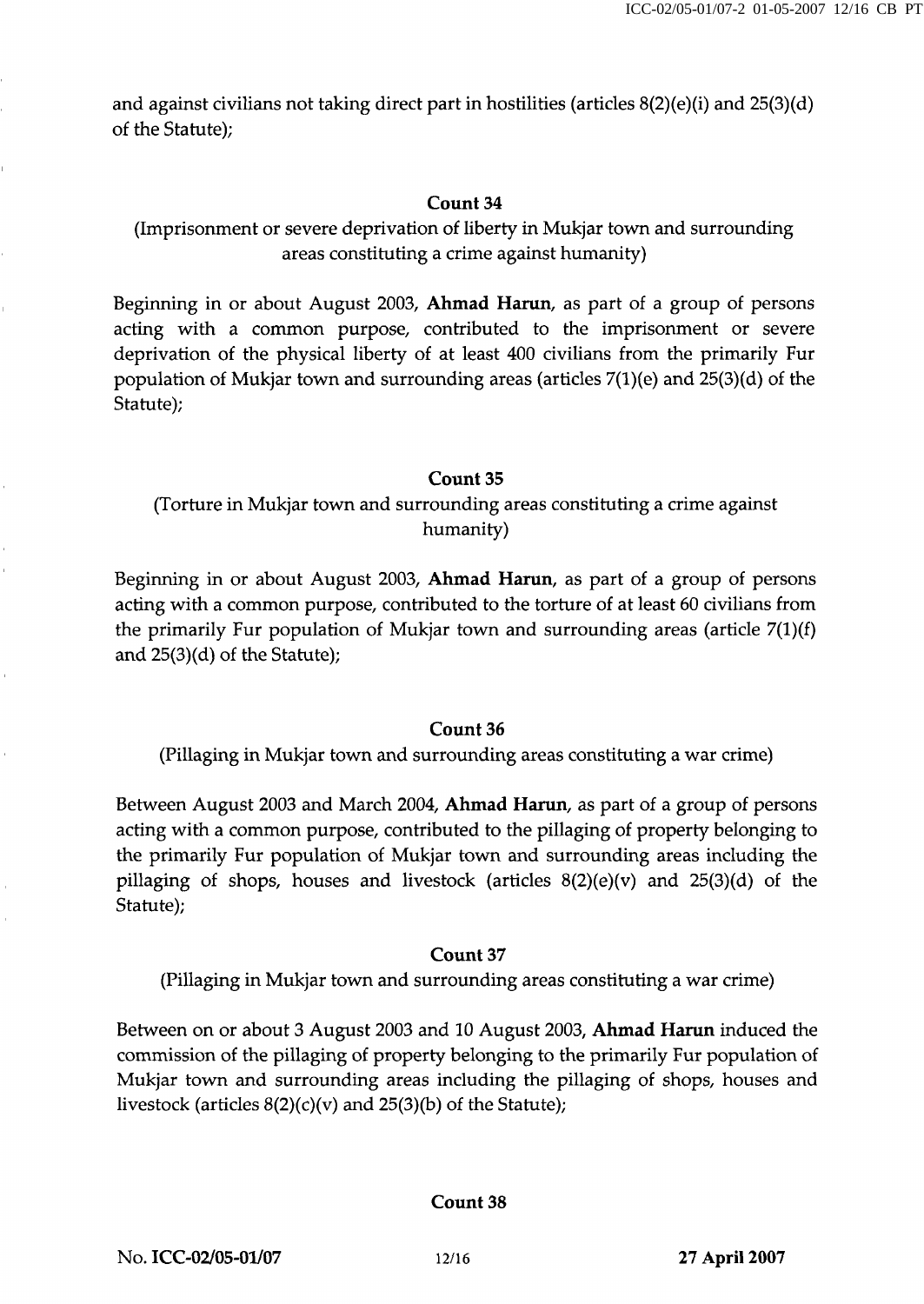and against civilians not taking direct part in hostilities (articles  $8(2)(e)(i)$  and  $25(3)(d)$ of the Statute);

## Count 34

# (Imprisonment or severe deprivation of liberty in Mukjar town and surrounding areas constituting a crime against humanity)

Beginning in or about August 2003, Ahmad Harun, as part of a group of persons acting with a common purpose, contributed to the imprisonment or severe deprivation of the physical liberty of at least 400 civilians from the primarily Fur population of Mukjar town and surrounding areas (articles  $7(1)(e)$  and  $25(3)(d)$  of the Statute);

#### Count 35

# (Torture in Mukjar town and surrounding areas constituting a crime against humanity)

Beginning in or about August 2003, Ahmad Harun, as part of a group of persons acting with a common purpose, contributed to the torture of at least 60 civilians from the primarily Fur population of Mukjar town and surrounding areas (article  $7(1)(f)$ ) and 25(3)(d) of the Statute);

#### Count 36

(Pillaging in Mukjar town and surrounding areas constituting a war crime)

Between August 2003 and March 2004, Ahmad Harun, as part of a group of persons acting with a common purpose, contributed to the pillaging of property belonging to the primarily Fur population of Mukjar town and surrounding areas including the pillaging of shops, houses and livestock (articles  $8(2)(e)(v)$  and  $25(3)(d)$  of the Statute);

#### Count 37

(Pillaging in Mukjar town and surrounding areas constituting a war crime)

Between on or about 3 August 2003 and 10 August 2003, Ahmad Harun induced the commission of the pillaging of property belonging to the primarily Fur population of Mukjar town and surrounding areas including the pillaging of shops, houses and livestock (articles  $8(2)(c)(v)$  and  $25(3)(b)$  of the Statute);

#### Count 38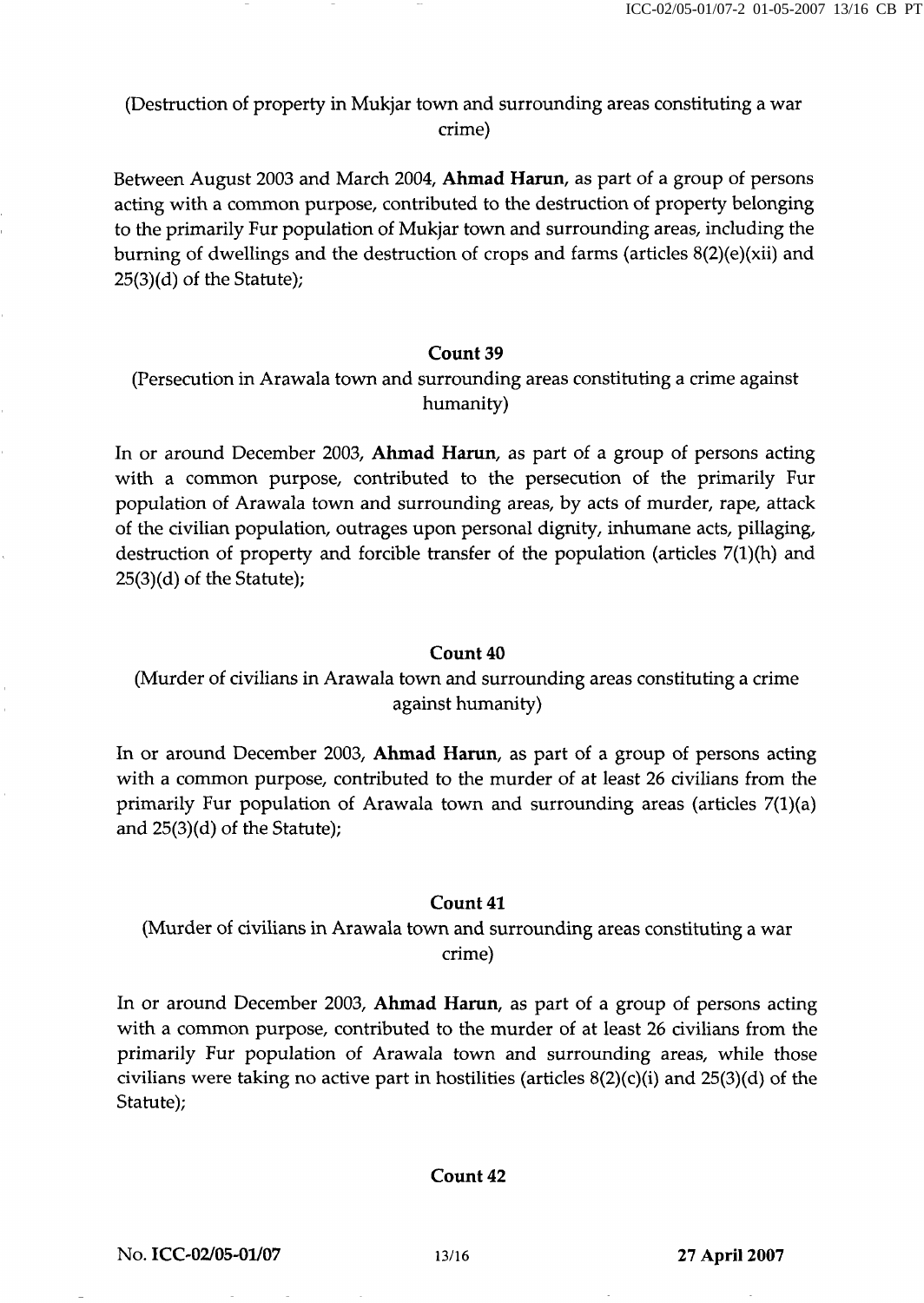(Destruction of property in Mukjar town and surrounding areas constituting a war crime)

Between August 2003 and March 2004, Ahmad Harun, as part of a group of persons acting with a common purpose, contributed to the destruction of property belonging to the primarily Fur population of Mukjar town and surrounding areas, including the burning of dwellings and the destruction of crops and farms (articles 8(2)(e)(xii) and 25(3)(d) of the Statute);

## Count 39

(Persecution in Arawala town and surrounding areas constituting a crime against humanity)

In or around December 2003, Ahmad Harun, as part of a group of persons acting with a common purpose, contributed to the persecution of the primarily Fur population of Arawala town and surrounding areas, by acts of murder, rape, attack of the civilian population, outrages upon personal dignity, inhumane acts, pillaging, destruction of property and forcible transfer of the population (articles 7(1)(h) and 25(3)(d) of the Statute);

#### Count 40

# (Murder of civilians in Arawala town and surrounding areas constituting a crime against humanity)

In or around December 2003, Ahmad Harun, as part of a group of persons acting with a common purpose, contributed to the murder of at least 26 civilians from the primarily Fur population of Arawala town and surrounding areas (articles 7(l)(a) and 25(3)(d) of the Statute);

#### Count 41

# (Murder of civilians in Arawala town and surrounding areas constituting a war crime)

In or around December 2003, Ahmad Harun, as part of a group of persons acting with a common purpose, contributed to the murder of at least 26 civilians from the primarily Fur population of Arawala town and surrounding areas, while those civilians were taking no active part in hostilities (articles  $8(2)(c)(i)$  and  $25(3)(d)$  of the Statute);

#### Count 42

No. ICC-02/05-01/07 13/16 27 April 2007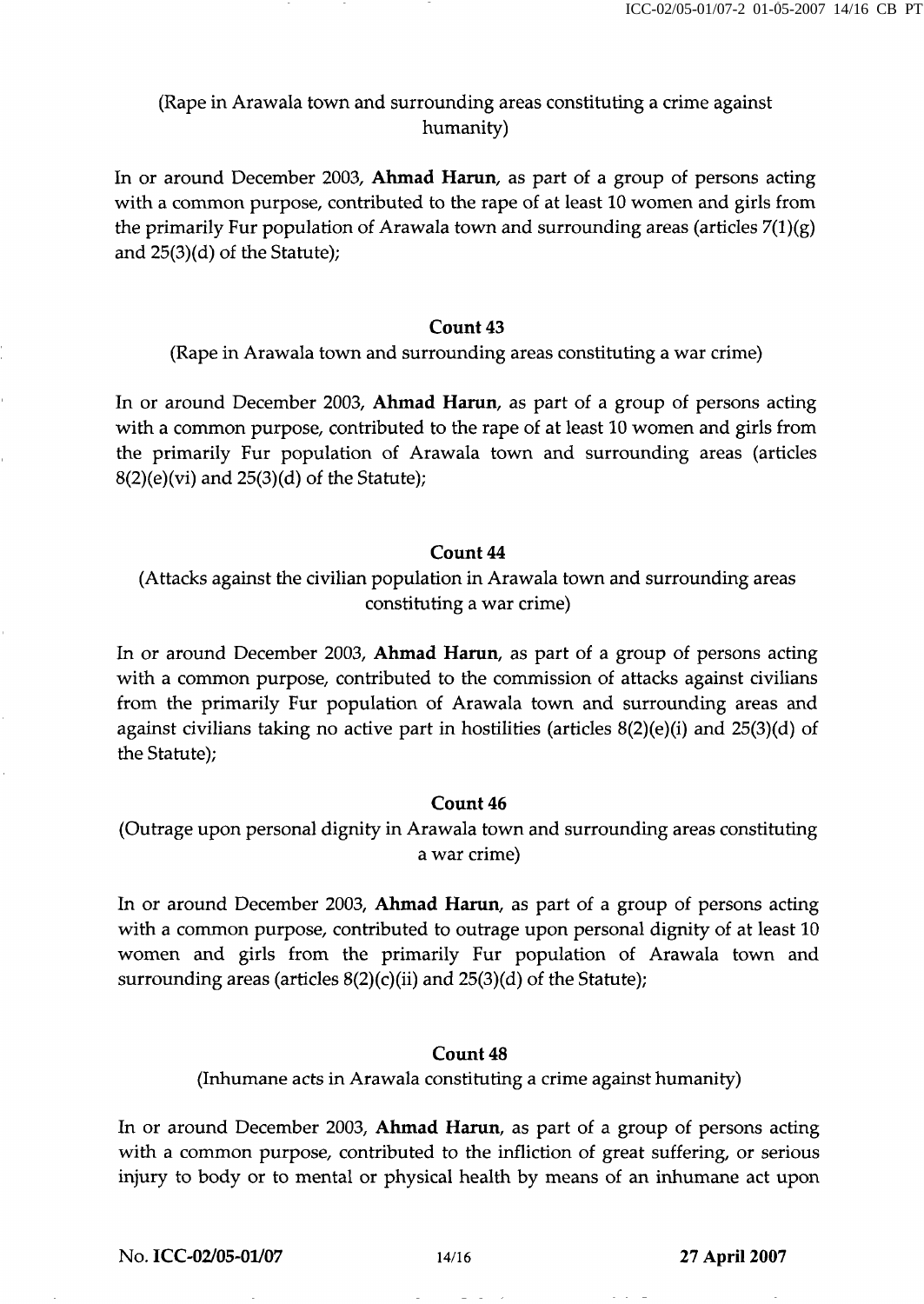# (Rape in Arawala town and surrounding areas constituting a crime against humanity)

In or around December 2003, Ahmad Harun, as part of a group of persons acting with a common purpose, contributed to the rape of at least 10 women and girls from the primarily Fur population of Arawala town and surrounding areas (articles  $7(1)(g)$ ) and 25(3)(d) of the Statute);

# Count 43

(Rape in Arawala town and surrounding areas constituting a war crime)

In or around December 2003, Ahmad Harun, as part of a group of persons acting with a common purpose, contributed to the rape of at least 10 women and girls from the primarily Fur population of Arawala town and surrounding areas (articles  $8(2)(e)(vi)$  and  $25(3)(d)$  of the Statute);

# Count 44

(Attacks against the civilian population in Arawala town and surrounding areas constituting a war crime)

In or around December 2003, Ahmad Harun, as part of a group of persons acting with a common purpose, contributed to the commission of attacks against civilians from the primarily Fur population of Arawala town and surrounding areas and against civilians taking no active part in hostilities (articles 8(2)(e)(i) and 25(3)(d) of the Statute);

## Count 46

(Outrage upon personal dignity in Arawala town and surrounding areas constituting a war crime)

In or around December 2003, Ahmad Harun, as part of a group of persons acting with a common purpose, contributed to outrage upon personal dignity of at least 10 women and girls from the primarily Fur population of Arawala town and surrounding areas (articles  $8(2)(c)(ii)$  and  $25(3)(d)$  of the Statute);

## Count 48

(Inhumane acts in Arawala constituting a crime against humanity)

In or around December 2003, Ahmad Harun, as part of a group of persons acting with a common purpose, contributed to the infliction of great suffering, or serious injury to body or to mental or physical health by means of an inhumane act upon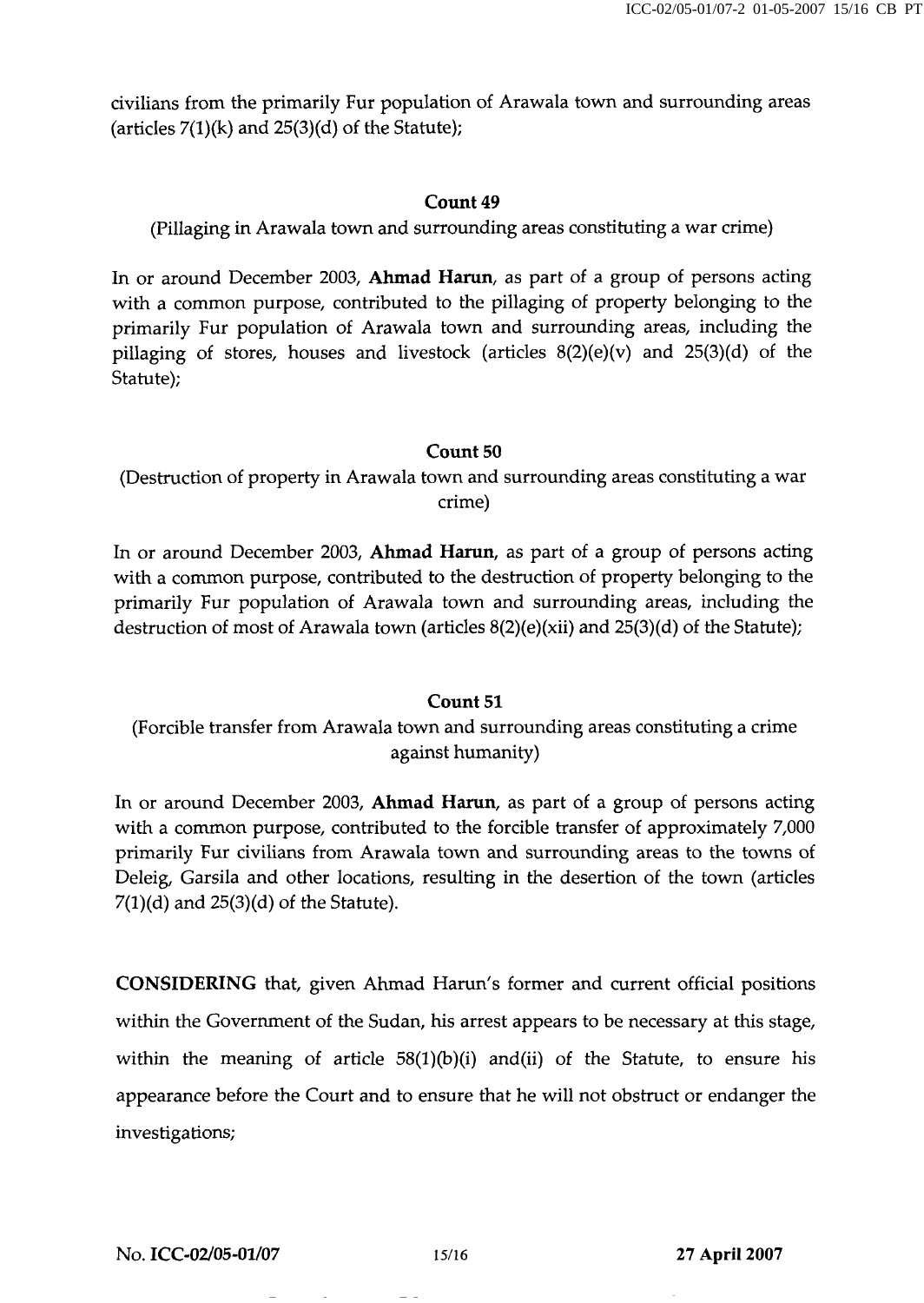civilians from the primarily Fur population of Arawala town and surrounding areas (articles  $7(1)(k)$  and  $25(3)(d)$  of the Statute);

## Count 49

(Pillaging in Arawala town and surrounding areas constituting a war crime)

In or around December 2003, Ahmad Harun, as part of a group of persons acting with a common purpose, contributed to the pillaging of property belonging to the primarily Fur population of Arawala town and surrounding areas, including the pillaging of stores, houses and livestock (articles 8(2)(e)(v) and 25(3)(d) of the Statute);

#### Count 50

(Destruction of property in Arawala town and surrounding areas constituting a war crime)

In or around December 2003, Ahmad Harun, as part of a group of persons acting with a common purpose, contributed to the destruction of property belonging to the primarily Fur population of Arawala town and surrounding areas, including the destruction of most of Arawala town (articles 8(2)(e)(xii) and 25(3)(d) of the Statute);

#### Count 51

(Forcible transfer from Arawala town and surrounding areas constituting a crime against humanity)

In or around December 2003, Ahmad Harun, as part of a group of persons acting with a common purpose, contributed to the forcible transfer of approximately 7,000 primarily Fur civilians from Arawala town and surrounding areas to the towns of Deleig, Garsila and other locations, resulting in the desertion of the town (articles  $7(1)(d)$  and  $25(3)(d)$  of the Statute).

CONSIDERING that, given Ahmad Harun's former and current official positions within the Government of the Sudan, his arrest appears to be necessary at this stage, within the meaning of article  $58(1)(b)(i)$  and(ii) of the Statute, to ensure his appearance before the Court and to ensure that he will not obstruct or endanger the investigations;